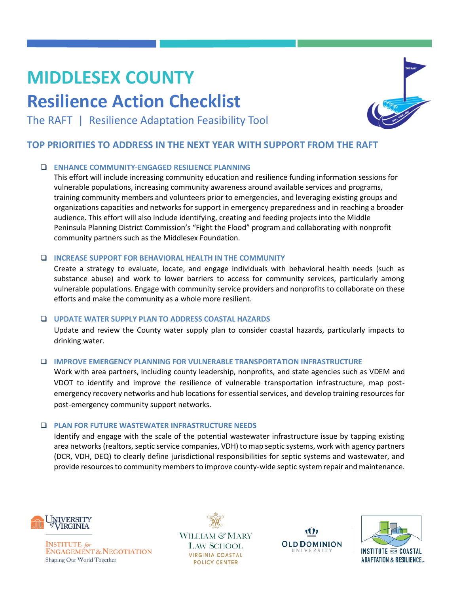# **MIDDLESEX COUNTY**

## **Resilience Action Checklist**



The RAFT | Resilience Adaptation Feasibility Tool

#### **TOP PRIORITIES TO ADDRESS IN THE NEXT YEAR WITH SUPPORT FROM THE RAFT**

#### ❑ **ENHANCE COMMUNITY-ENGAGED RESILIENCE PLANNING**

This effort will include increasing community education and resilience funding information sessions for vulnerable populations, increasing community awareness around available services and programs, training community members and volunteers prior to emergencies, and leveraging existing groups and organizations capacities and networks for support in emergency preparedness and in reaching a broader audience. This effort will also include identifying, creating and feeding projects into the Middle Peninsula Planning District Commission's "Fight the Flood" program and collaborating with nonprofit community partners such as the Middlesex Foundation.

#### ❑ **INCREASE SUPPORT FOR BEHAVIORAL HEALTH IN THE COMMUNITY**

Create a strategy to evaluate, locate, and engage individuals with behavioral health needs (such as substance abuse) and work to lower barriers to access for community services, particularly among vulnerable populations. Engage with community service providers and nonprofits to collaborate on these efforts and make the community as a whole more resilient.

#### ❑ **UPDATE WATER SUPPLY PLAN TO ADDRESS COASTAL HAZARDS**

Update and review the County water supply plan to consider coastal hazards, particularly impacts to drinking water.

#### ❑ **IMPROVE EMERGENCY PLANNING FOR VULNERABLE TRANSPORTATION INFRASTRUCTURE**

Work with area partners, including county leadership, nonprofits, and state agencies such as VDEM and VDOT to identify and improve the resilience of vulnerable transportation infrastructure, map postemergency recovery networks and hub locations for essential services, and develop training resources for post-emergency community support networks.

#### ❑ **PLAN FOR FUTURE WASTEWATER INFRASTRUCTURE NEEDS**

Identify and engage with the scale of the potential wastewater infrastructure issue by tapping existing area networks (realtors, septic service companies, VDH) to map septic systems, work with agency partners (DCR, VDH, DEQ) to clearly define jurisdictional responsibilities for septic systems and wastewater, and provide resources to community members to improve county-wide septic system repair and maintenance.



**INSTITUTE** for **ENGAGEMENT & NEGOTIATION** Shaping Our World Together

WILLIAM & MARY **LAW SCHOOL VIRGINIA COASTAL POLICY CENTER** 

Ŵ **OLD DOMINION**